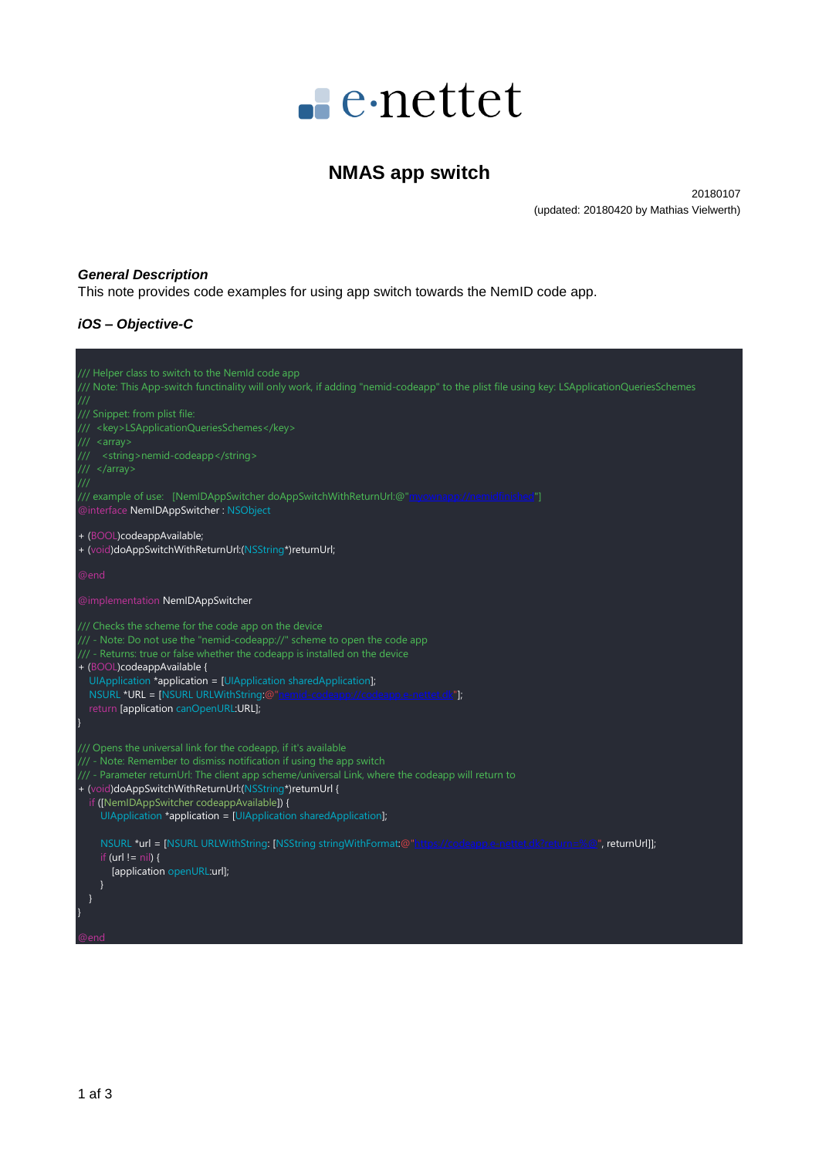

# **NMAS app switch**

20180107 (updated: 20180420 by Mathias Vielwerth)

#### *General Description*

This note provides code examples for using app switch towards the NemID code app.

## *iOS – Objective-C*

| /// Helper class to switch to the NemId code app<br>/// Note: This App-switch functinality will only work, if adding "nemid-codeapp" to the plist file using key: LSApplicationQueriesSchemes<br>$^{\prime\prime\prime}$<br>/// Snippet: from plist file:<br>/// <key>LSApplicationQueriesSchemes</key><br>/// <array><br/><string>nemid-codeapp</string><br/>/// </array><br>$^{\prime\prime\prime}$<br>/// example of use: [NemIDAppSwitcher doAppSwitchWithReturnUrl:@"myownapp://nemidfinished"]<br>@interface NemIDAppSwitcher: NSObject |
|-----------------------------------------------------------------------------------------------------------------------------------------------------------------------------------------------------------------------------------------------------------------------------------------------------------------------------------------------------------------------------------------------------------------------------------------------------------------------------------------------------------------------------------------------|
| + (BOOL)codeappAvailable;<br>+ (void)doAppSwitchWithReturnUrl:(NSString*)returnUrl;                                                                                                                                                                                                                                                                                                                                                                                                                                                           |
| @end                                                                                                                                                                                                                                                                                                                                                                                                                                                                                                                                          |
| @implementation NemIDAppSwitcher                                                                                                                                                                                                                                                                                                                                                                                                                                                                                                              |
| /// Checks the scheme for the code app on the device<br>/// - Note: Do not use the "nemid-codeapp://" scheme to open the code app<br>/// - Returns: true or false whether the codeapp is installed on the device<br>+ (BOOL)codeappAvailable {<br>UIApplication *application = [UIApplication sharedApplication];<br>NSURL *URL = [NSURL URLWithString:@"nemid-codeapp://codeapp.e-nettet.dk"];<br>return [application canOpenURL:URL];                                                                                                       |
| /// Opens the universal link for the codeapp, if it's available<br>/// - Note: Remember to dismiss notification if using the app switch<br>/// - Parameter returnUrl: The client app scheme/universal Link, where the codeapp will return to<br>+ (void)doAppSwitchWithReturnUrl:(NSString*)returnUrl {<br>if ([NemIDAppSwitcher codeappAvailable]) {<br>UIApplication *application = [UIApplication sharedApplication];                                                                                                                      |
| NSURL *url = [NSURL URLWithString: [NSString stringWithFormat:@"https://codeapp.e-nettet.dk?return=%@", returnUrl]];<br>if (url != $nil$ ) {<br>[application openURL:url];<br>@end                                                                                                                                                                                                                                                                                                                                                            |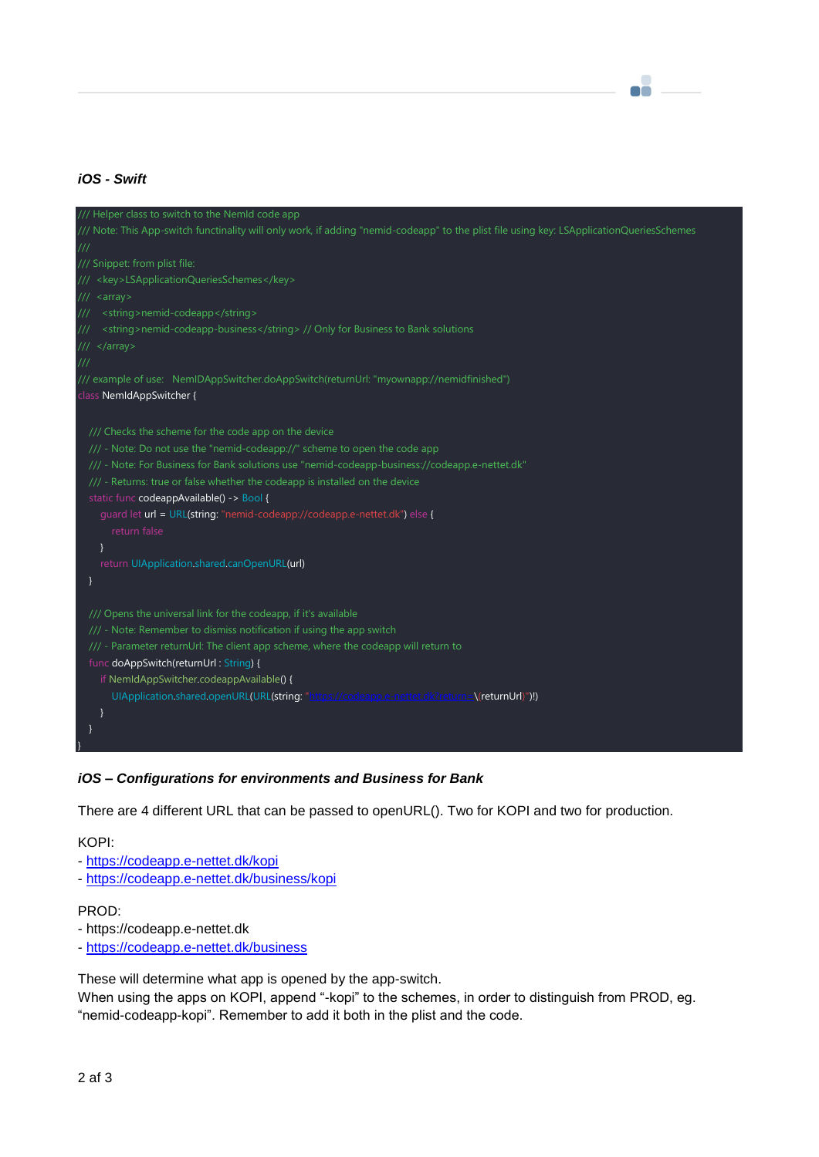## *iOS - Swift*

| /// Helper class to switch to the NemId code app                                                                                          |  |
|-------------------------------------------------------------------------------------------------------------------------------------------|--|
| /// Note: This App-switch functinality will only work, if adding "nemid-codeapp" to the plist file using key: LSApplicationQueriesSchemes |  |
| $^{\prime\prime\prime}$                                                                                                                   |  |
| /// Snippet: from plist file:                                                                                                             |  |
| /// <key>LSApplicationQueriesSchemes</key>                                                                                                |  |
| $11/1$ < array >                                                                                                                          |  |
| /// <string>nemid-codeapp</string>                                                                                                        |  |
| <string>nemid-codeapp-business</string> // Only for Business to Bank solutions<br>III                                                     |  |
| ///                                                                                                                                       |  |
| ///                                                                                                                                       |  |
| /// example of use: NemIDAppSwitcher.doAppSwitch(returnUrl: "myownapp://nemidfinished")                                                   |  |
| class NemIdAppSwitcher {                                                                                                                  |  |
|                                                                                                                                           |  |
| /// Checks the scheme for the code app on the device                                                                                      |  |
| /// - Note: Do not use the "nemid-codeapp://" scheme to open the code app                                                                 |  |
| /// - Note: For Business for Bank solutions use "nemid-codeapp-business://codeapp.e-nettet.dk"                                            |  |
| /// - Returns: true or false whether the codeapp is installed on the device                                                               |  |
| static func codeappAvailable() -> Bool {                                                                                                  |  |
| guard let url = URL(string: "nemid-codeapp://codeapp.e-nettet.dk") else {                                                                 |  |
| return false                                                                                                                              |  |
|                                                                                                                                           |  |
| return UIApplication.shared.canOpenURL(url)                                                                                               |  |
|                                                                                                                                           |  |
|                                                                                                                                           |  |
| /// Opens the universal link for the codeapp, if it's available                                                                           |  |
| /// - Note: Remember to dismiss notification if using the app switch                                                                      |  |
| /// - Parameter returnUrl: The client app scheme, where the codeapp will return to                                                        |  |
| func doAppSwitch(returnUrl: String) {                                                                                                     |  |
| if NemIdAppSwitcher.codeappAvailable() {                                                                                                  |  |
| UIApplication.shared.openURL(URL(string: "https://codeapp.e-nettet.dk?return=\(returnUrl)")!)                                             |  |
|                                                                                                                                           |  |
|                                                                                                                                           |  |
|                                                                                                                                           |  |

eë

### *iOS – Configurations for environments and Business for Bank*

There are 4 different URL that can be passed to openURL(). Two for KOPI and two for production.

KOPI:

- <https://codeapp.e-nettet.dk/kopi>
- <https://codeapp.e-nettet.dk/business/kopi>

#### PROD:

- https://codeapp.e-nettet.dk
- <https://codeapp.e-nettet.dk/business>

These will determine what app is opened by the app-switch.

When using the apps on KOPI, append "-kopi" to the schemes, in order to distinguish from PROD, eg. "nemid-codeapp-kopi". Remember to add it both in the plist and the code.